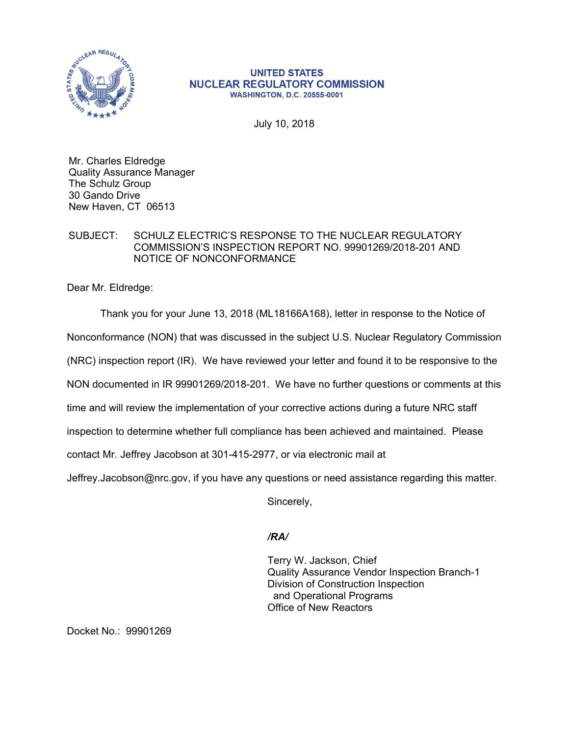

## **UNITED STATES NUCLEAR REGULATORY COMMISSION WASHINGTON, D.C. 20555-0001**

July 10, 2018

Mr. Charles Eldredge Quality Assurance Manager The Schulz Group 30 Gando Drive New Haven, CT 06513

## SUBJECT: SCHULZ ELECTRIC'S RESPONSE TO THE NUCLEAR REGULATORY COMMISSION'S INSPECTION REPORT NO. 99901269/2018-201 AND NOTICE OF NONCONFORMANCE

Dear Mr. Eldredge:

Thank you for your June 13, 2018 (ML18166A168), letter in response to the Notice of Nonconformance (NON) that was discussed in the subject U.S. Nuclear Regulatory Commission (NRC) inspection report (IR). We have reviewed your letter and found it to be responsive to the NON documented in IR 99901269/2018-201. We have no further questions or comments at this time and will review the implementation of your corrective actions during a future NRC staff inspection to determine whether full compliance has been achieved and maintained. Please contact Mr. Jeffrey Jacobson at 301-415-2977, or via electronic mail at

Jeffrey.Jacobson@nrc.gov, if you have any questions or need assistance regarding this matter.

Sincerely,

## */RA/*

Terry W. Jackson, Chief Quality Assurance Vendor Inspection Branch-1 Division of Construction Inspection and Operational Programs Office of New Reactors

Docket No.: 99901269